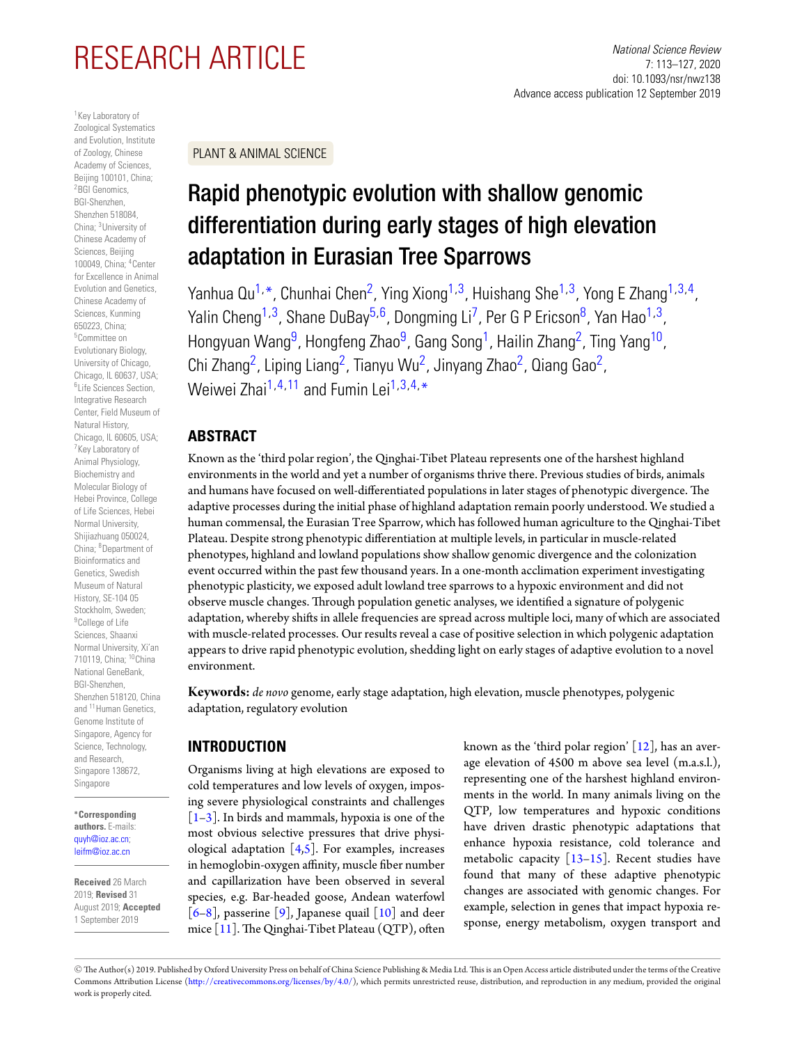# RESEARCH ARTICLE *National Science Review*

<span id="page-0-2"></span><span id="page-0-0"></span>1Key Laboratory of Zoological Systematics and Evolution, Institute of Zoology, Chinese Academy of Sciences, Beijing 100101, China; <sup>2</sup>BGI Genomics. BGI-Shenzhen, Shenzhen 518084, China; 3University of Chinese Academy of Sciences, Beijing 100049, China; 4Center for Excellence in Animal Evolution and Genetics, Chinese Academy of Sciences, Kunming 650223, China; 5Committee on Evolutionary Biology, University of Chicago, Chicago, IL 60637, USA; 6Life Sciences Section, Integrative Research Center, Field Museum of Natural History, Chicago, IL 60605, USA; 7Key Laboratory of Animal Physiology, Biochemistry and Molecular Biology of Hebei Province, College of Life Sciences, Hebei Normal University, Shijiazhuang 050024, China; 8Department of Bioinformatics and Genetics, Swedish Museum of Natural History, SE-104 05 Stockholm, Sweden; <sup>9</sup>College of Life Sciences, Shaanxi Normal University, Xi'an 710119, China; 10China National GeneBank, BGI-Shenzhen, Shenzhen 518120, China and <sup>11</sup> Human Genetics, Genome Institute of Singapore, Agency for Science, Technology, and Research, Singapore 138672, Singapore

<span id="page-0-11"></span><span id="page-0-1"></span>**∗Corresponding authors.** E-mails: [quyh@ioz.ac.cn;](mailto:quyh@ioz.ac.cn) [leifm@ioz.ac.cn](mailto:leifm@ioz.ac.cn)

**Received** 26 March 2019; **Revised** 31 August 2019; **Accepted** 1 September 2019

7: 113–127, 2020 doi: 10.1093/nsr/nwz138 Advance access publication 12 September 2019

PLANT & ANIMAL SCIENCE

# <span id="page-0-3"></span>Rapid phenotypic evolution with shallow genomic differentiation during early stages of high elevation adaptation in Eurasian Tree Sparrows

<span id="page-0-5"></span><span id="page-0-4"></span>Yanhua Qu<sup>[1,](#page-0-0)\*</sup>, Chunhai Chen<sup>2</sup>, Ying Xiong<sup>1,3</sup>, Huishang She<sup>1,3</sup>, Yong E Zhang<sup>1,[3,](#page-0-3)4</sup>, Yalin Cheng<sup>[1,](#page-0-0)3</sup>, Shane DuBay<sup>5,6</sup>, Dongming Li<sup>7</sup>, Per G P Ericson<sup>8</sup>, Yan Hao<sup>1,3</sup>, Hongyuan Wang<sup>9</sup>, Hongfeng Zhao<sup>9</sup>, Gang Song<sup>1</sup>, Hailin Zhang<sup>2</sup>, Ting Yang<sup>10</sup>, Chi Zhang<sup>2</sup>, Liping Liang<sup>2</sup>, Tianyu Wu<sup>2</sup>, Jinyang Zhao<sup>2</sup>, Qiang Gao<sup>2</sup>, Weiwei Zhai<sup>1,[4,](#page-0-4)[11](#page-0-11)</sup> and Fumin Lei<sup>1,[3,](#page-0-3)4,</sup>[\\*](#page-0-1)

# <span id="page-0-7"></span><span id="page-0-6"></span>**ABSTRACT**

<span id="page-0-8"></span>Known as the 'third polar region', the Qinghai-Tibet Plateau represents one of the harshest highland environments in the world and yet a number of organisms thrive there. Previous studies of birds, animals and humans have focused on well-differentiated populations in later stages of phenotypic divergence. The adaptive processes during the initial phase of highland adaptation remain poorly understood. We studied a human commensal, the Eurasian Tree Sparrow, which has followed human agriculture to the Qinghai-Tibet Plateau. Despite strong phenotypic differentiation at multiple levels, in particular in muscle-related phenotypes, highland and lowland populations show shallow genomic divergence and the colonization event occurred within the past few thousand years. In a one-month acclimation experiment investigating phenotypic plasticity, we exposed adult lowland tree sparrows to a hypoxic environment and did not observe muscle changes. Through population genetic analyses, we identified a signature of polygenic adaptation, whereby shifts in allele frequencies are spread across multiple loci, many of which are associated with muscle-related processes. Our results reveal a case of positive selection in which polygenic adaptation appears to drive rapid phenotypic evolution, shedding light on early stages of adaptive evolution to a novel environment.

<span id="page-0-10"></span><span id="page-0-9"></span>**Keywords:** *de novo* genome, early stage adaptation, high elevation, muscle phenotypes, polygenic adaptation, regulatory evolution

# **INTRODUCTION**

Organisms living at high elevations are exposed to cold temperatures and low levels of oxygen, imposing severe physiological constraints and challenges  $\left[1-3\right]$  $\left[1-3\right]$  $\left[1-3\right]$ . In birds and mammals, hypoxia is one of the most obvious selective pressures that drive physiological adaptation  $[4,5]$  $[4,5]$ . For examples, increases in hemoglobin-oxygen affinity, muscle fiber number and capillarization have been observed in several species, e.g. Bar-headed goose, Andean waterfowl  $[6-8]$  $[6-8]$ , passerine [\[9\]](#page-13-1), Japanese quail [\[10\]](#page-13-2) and deer mice [\[11\]](#page-13-3). The Qinghai-Tibet Plateau (QTP), often

known as the 'third polar region'  $[12]$ , has an average elevation of 4500 m above sea level (m.a.s.l.), representing one of the harshest highland environments in the world. In many animals living on the QTP, low temperatures and hypoxic conditions have driven drastic phenotypic adaptations that enhance hypoxia resistance, cold tolerance and metabolic capacity  $\left[13-15\right]$ . Recent studies have found that many of these adaptive phenotypic changes are associated with genomic changes. For example, selection in genes that impact hypoxia response, energy metabolism, oxygen transport and

 $\mathbb O$  The Author(s) 2019. Published by Oxford University Press on behalf of China Science Publishing & Media Ltd. This is an Open Access article distributed under the terms of the Creative Commons Attribution License [\(http://creativecommons.org/licenses/by/4.0/\)](mailto:http://creativecommons.org/licenses/by/4.0/), which permits unrestricted reuse, distribution, and reproduction in any medium, provided the original work is properly cited.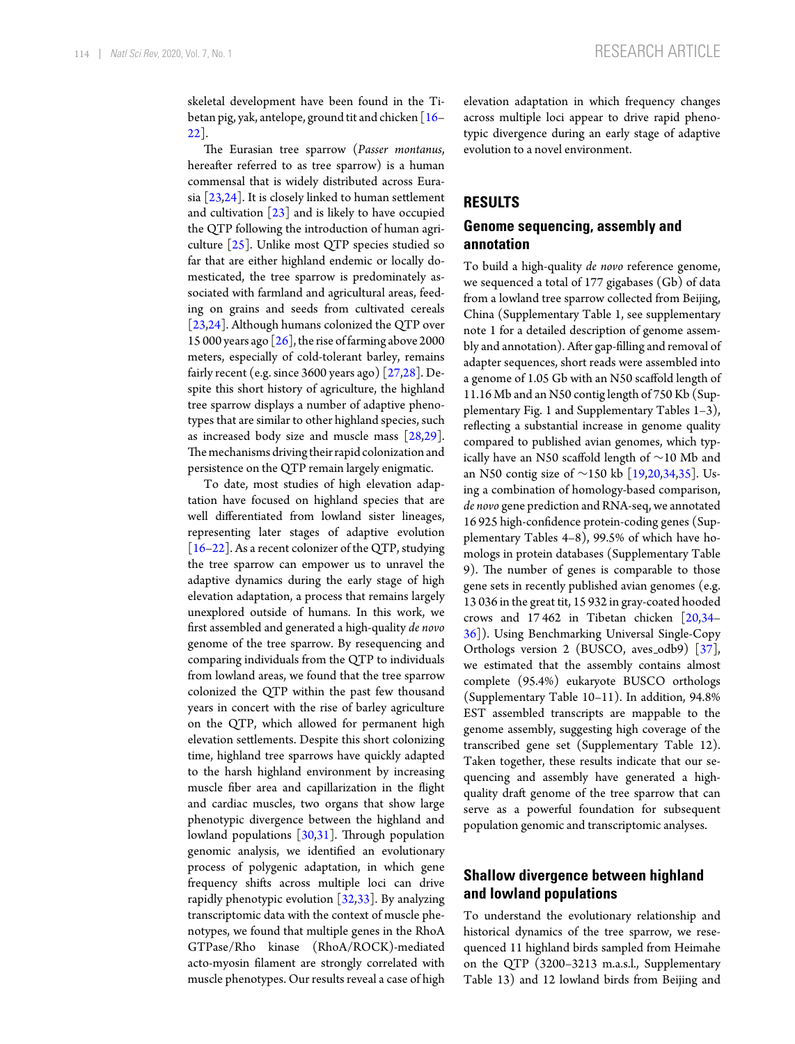skeletal development have been found in the Tibetan pig, yak, antelope, ground tit and chicken  $\lceil 16-\rceil$ [22\]](#page-13-8).

The Eurasian tree sparrow (*Passer montanus*, hereafter referred to as tree sparrow) is a human commensal that is widely distributed across Eurasia  $\left[23,24\right]$  $\left[23,24\right]$  $\left[23,24\right]$ . It is closely linked to human settlement and cultivation  $[23]$  and is likely to have occupied the QTP following the introduction of human agriculture [\[25\]](#page-13-11). Unlike most QTP species studied so far that are either highland endemic or locally domesticated, the tree sparrow is predominately associated with farmland and agricultural areas, feeding on grains and seeds from cultivated cereals [\[23,](#page-13-9)[24\]](#page-13-10). Although humans colonized the QTP over 15 000 years ago  $[26]$ , the rise of farming above 2000 meters, especially of cold-tolerant barley, remains fairly recent (e.g. since 3600 years ago) [\[27,](#page-13-13)[28\]](#page-13-14). Despite this short history of agriculture, the highland tree sparrow displays a number of adaptive phenotypes that are similar to other highland species, such as increased body size and muscle mass [\[28,](#page-13-14)[29\]](#page-13-15). The mechanisms driving their rapid colonization and persistence on the QTP remain largely enigmatic.

To date, most studies of high elevation adaptation have focused on highland species that are well differentiated from lowland sister lineages, representing later stages of adaptive evolution [\[16–](#page-13-7)[22\]](#page-13-8). As a recent colonizer of the QTP, studying the tree sparrow can empower us to unravel the adaptive dynamics during the early stage of high elevation adaptation, a process that remains largely unexplored outside of humans. In this work, we first assembled and generated a high-quality *de novo* genome of the tree sparrow. By resequencing and comparing individuals from the QTP to individuals from lowland areas, we found that the tree sparrow colonized the QTP within the past few thousand years in concert with the rise of barley agriculture on the QTP, which allowed for permanent high elevation settlements. Despite this short colonizing time, highland tree sparrows have quickly adapted to the harsh highland environment by increasing muscle fiber area and capillarization in the flight and cardiac muscles, two organs that show large phenotypic divergence between the highland and lowland populations [\[30](#page-13-16)[,31\]](#page-13-17). Through population genomic analysis, we identified an evolutionary process of polygenic adaptation, in which gene frequency shifts across multiple loci can drive rapidly phenotypic evolution  $[32,33]$  $[32,33]$ . By analyzing transcriptomic data with the context of muscle phenotypes, we found that multiple genes in the RhoA GTPase/Rho kinase (RhoA/ROCK)-mediated acto-myosin filament are strongly correlated with muscle phenotypes. Our results reveal a case of high elevation adaptation in which frequency changes across multiple loci appear to drive rapid phenotypic divergence during an early stage of adaptive evolution to a novel environment.

# **RESULTS**

# **Genome sequencing, assembly and annotation**

To build a high-quality *de novo* reference genome, we sequenced a total of 177 gigabases (Gb) of data from a lowland tree sparrow collected from Beijing, China (Supplementary Table 1, see supplementary note 1 for a detailed description of genome assembly and annotation). After gap-filling and removal of adapter sequences, short reads were assembled into a genome of 1.05 Gb with an N50 scaffold length of 11.16 Mb and an N50 contig length of 750 Kb (Supplementary Fig. 1 and Supplementary Tables 1–3), reflecting a substantial increase in genome quality compared to published avian genomes, which typically have an N50 scaffold length of ∼10 Mb and an N50 contig size of ∼150 kb [\[19](#page-13-20)[,20,](#page-13-21)[34](#page-13-22)[,35\]](#page-13-23). Using a combination of homology-based comparison, *de novo* gene prediction and RNA-seq, we annotated 16 925 high-confidence protein-coding genes (Supplementary Tables 4–8), 99.5% of which have homologs in protein databases (Supplementary Table 9). The number of genes is comparable to those gene sets in recently published avian genomes (e.g. 13 036 in the great tit, 15 932 in gray-coated hooded crows and 17 462 in Tibetan chicken [\[20](#page-13-21)[,34–](#page-13-22) [36\]](#page-13-24)). Using Benchmarking Universal Single-Copy Orthologs version 2 (BUSCO, aves\_odb9) [\[37\]](#page-13-25), we estimated that the assembly contains almost complete (95.4%) eukaryote BUSCO orthologs (Supplementary Table 10–11). In addition, 94.8% EST assembled transcripts are mappable to the genome assembly, suggesting high coverage of the transcribed gene set (Supplementary Table 12). Taken together, these results indicate that our sequencing and assembly have generated a highquality draft genome of the tree sparrow that can serve as a powerful foundation for subsequent population genomic and transcriptomic analyses.

# **Shallow divergence between highland and lowland populations**

To understand the evolutionary relationship and historical dynamics of the tree sparrow, we resequenced 11 highland birds sampled from Heimahe on the QTP (3200–3213 m.a.s.l., Supplementary Table 13) and 12 lowland birds from Beijing and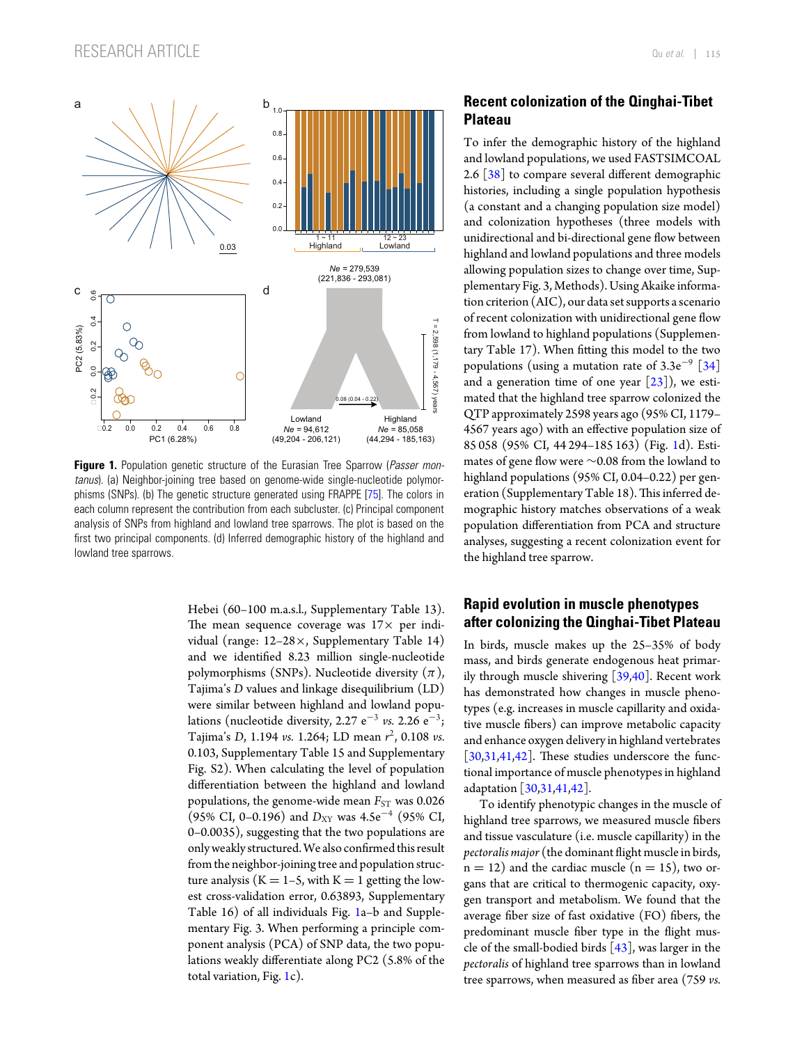<span id="page-2-0"></span>

**Figure 1.** Population genetic structure of the Eurasian Tree Sparrow (*Passer montanus*). (a) Neighbor-joining tree based on genome-wide single-nucleotide polymorphisms (SNPs). (b) The genetic structure generated using FRAPPE [\[75\]](#page-14-0). The colors in each column represent the contribution from each subcluster. (c) Principal component analysis of SNPs from highland and lowland tree sparrows. The plot is based on the first two principal components. (d) Inferred demographic history of the highland and lowland tree sparrows.

Hebei (60–100 m.a.s.l., Supplementary Table 13). The mean sequence coverage was  $17\times$  per individual (range: 12–28×, Supplementary Table 14) and we identified 8.23 million single-nucleotide polymorphisms (SNPs). Nucleotide diversity  $(\pi)$ , Tajima's *D* values and linkage disequilibrium (LD) were similar between highland and lowland populations (nucleotide diversity, 2.27 e<sup> $-3$ </sup> *vs.* 2.26 e<sup> $-3$ </sup>; Tajima's *D*, 1.194 *vs.* 1.264; LD mean *r* 2, 0.108 *vs.* 0.103, Supplementary Table 15 and Supplementary Fig. S2). When calculating the level of population differentiation between the highland and lowland populations, the genome-wide mean  $F_{ST}$  was 0.026 (95% CI, 0–0.196) and *D*<sub>XY</sub> was 4.5e<sup>-4</sup> (95% CI, 0–0.0035), suggesting that the two populations are only weakly structured. We also confirmed this result from the neighbor-joining tree and population structure analysis ( $K = 1-5$ , with  $K = 1$  getting the lowest cross-validation error, 0.63893, Supplementary Table 16) of all individuals Fig. [1a](#page-2-0)–b and Supplementary Fig. 3. When performing a principle component analysis (PCA) of SNP data, the two populations weakly differentiate along PC2 (5.8% of the total variation, Fig. [1c](#page-2-0)).

# **Recent colonization of the Qinghai-Tibet Plateau**

To infer the demographic history of the highland and lowland populations, we used FASTSIMCOAL 2.6  $\lceil 38 \rceil$  to compare several different demographic histories, including a single population hypothesis (a constant and a changing population size model) and colonization hypotheses (three models with unidirectional and bi-directional gene flow between highland and lowland populations and three models allowing population sizes to change over time, Supplementary Fig. 3, Methods). Using Akaike information criterion (AIC), our data set supports a scenario of recent colonization with unidirectional gene flow from lowland to highland populations (Supplementary Table 17). When fitting this model to the two populations (using a mutation rate of  $3.3e^{-9}$  [\[34\]](#page-13-22) and a generation time of one year  $[23]$ ), we estimated that the highland tree sparrow colonized the QTP approximately 2598 years ago (95% CI, 1179– 4567 years ago) with an effective population size of 85 058 (95% CI, 44 294–185 163) (Fig. [1d](#page-2-0)). Estimates of gene flow were ∼0.08 from the lowland to highland populations (95% CI, 0.04–0.22) per generation (Supplementary Table 18).This inferred demographic history matches observations of a weak population differentiation from PCA and structure analyses, suggesting a recent colonization event for the highland tree sparrow.

# **Rapid evolution in muscle phenotypes after colonizing the Qinghai-Tibet Plateau**

In birds, muscle makes up the 25–35% of body mass, and birds generate endogenous heat primarily through muscle shivering [\[39](#page-13-27)[,40\]](#page-13-28). Recent work has demonstrated how changes in muscle phenotypes (e.g. increases in muscle capillarity and oxidative muscle fibers) can improve metabolic capacity and enhance oxygen delivery in highland vertebrates [\[30,](#page-13-16)[31](#page-13-17)[,41,](#page-13-29)[42\]](#page-13-30). These studies underscore the functional importance of muscle phenotypes in highland adaptation [\[30,](#page-13-16)[31](#page-13-17)[,41,](#page-13-29)[42\]](#page-13-30).

To identify phenotypic changes in the muscle of highland tree sparrows, we measured muscle fibers and tissue vasculature (i.e. muscle capillarity) in the *pectoralis major* (the dominant flight muscle in birds,  $n = 12$ ) and the cardiac muscle  $(n = 15)$ , two organs that are critical to thermogenic capacity, oxygen transport and metabolism. We found that the average fiber size of fast oxidative (FO) fibers, the predominant muscle fiber type in the flight muscle of the small-bodied birds  $[43]$ , was larger in the *pectoralis* of highland tree sparrows than in lowland tree sparrows, when measured as fiber area (759 *vs.*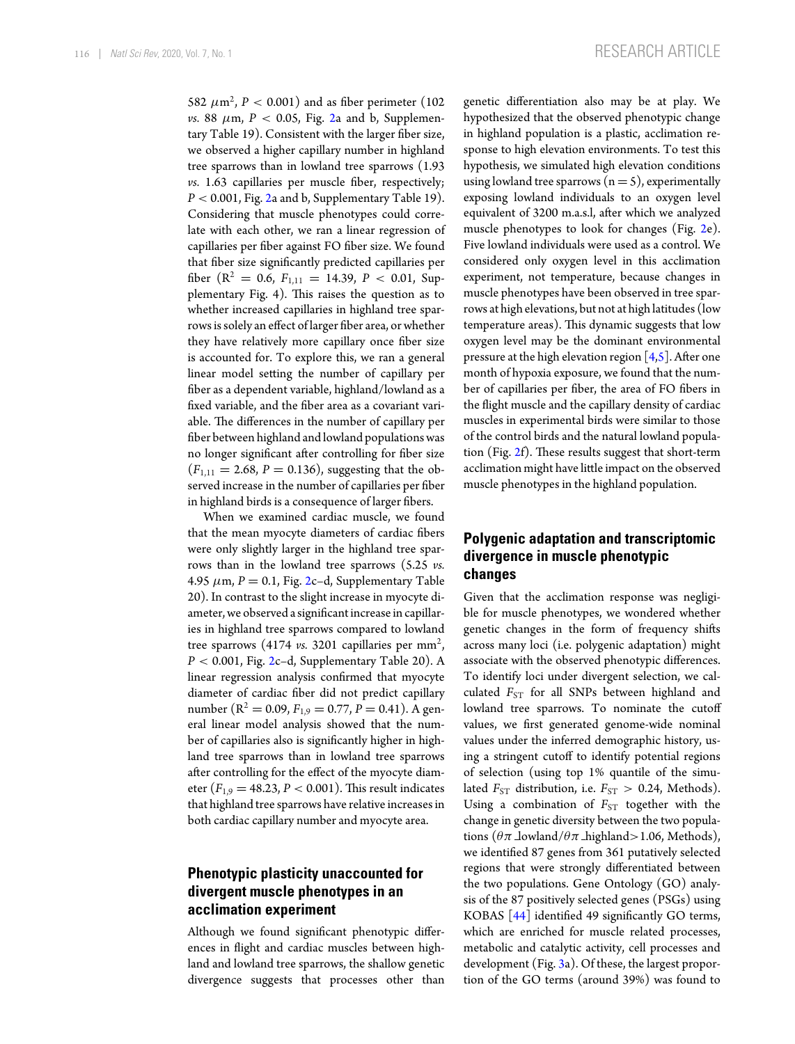582  $\mu$ m<sup>2</sup>, *P* < 0.001) and as fiber perimeter (102) *vs.* 88  $\mu$ m,  $P < 0.05$ , Fig. [2a](#page-4-0) and b, Supplementary Table 19). Consistent with the larger fiber size, we observed a higher capillary number in highland tree sparrows than in lowland tree sparrows (1.93 *vs.* 1.63 capillaries per muscle fiber, respectively;  $P < 0.001$ , Fig. [2a](#page-4-0) and b, Supplementary Table 19). Considering that muscle phenotypes could correlate with each other, we ran a linear regression of capillaries per fiber against FO fiber size. We found that fiber size significantly predicted capillaries per fiber ( $R^2 = 0.6$ ,  $F_{1,11} = 14.39$ ,  $P < 0.01$ , Supplementary Fig. 4). This raises the question as to whether increased capillaries in highland tree sparrows is solely an effect of larger fiber area, or whether they have relatively more capillary once fiber size is accounted for. To explore this, we ran a general linear model setting the number of capillary per fiber as a dependent variable, highland/lowland as a fixed variable, and the fiber area as a covariant variable. The differences in the number of capillary per fiber between highland and lowland populations was no longer significant after controlling for fiber size  $(F_{1,11} = 2.68, P = 0.136)$ , suggesting that the observed increase in the number of capillaries per fiber in highland birds is a consequence of larger fibers.

When we examined cardiac muscle, we found that the mean myocyte diameters of cardiac fibers were only slightly larger in the highland tree sparrows than in the lowland tree sparrows (5.25 *vs.* 4.95  $\mu$ m,  $P = 0.1$ , Fig. [2c](#page-4-0)-d, Supplementary Table 20). In contrast to the slight increase in myocyte diameter, we observed a significant increase in capillaries in highland tree sparrows compared to lowland tree sparrows  $(4174 \text{ vs. } 3201 \text{ capillaries per mm}^2)$ , *P* < 0.001, Fig. [2c](#page-4-0)–d, Supplementary Table 20). A linear regression analysis confirmed that myocyte diameter of cardiac fiber did not predict capillary number ( $R^2 = 0.09$ ,  $F_{1,9} = 0.77$ ,  $P = 0.41$ ). A general linear model analysis showed that the number of capillaries also is significantly higher in highland tree sparrows than in lowland tree sparrows after controlling for the effect of the myocyte diameter  $(F_{1,9} = 48.23, P < 0.001)$ . This result indicates that highland tree sparrows have relative increases in both cardiac capillary number and myocyte area[.](#page-4-0)

# **Phenotypic plasticity unaccounted for divergent muscle phenotypes in an acclimation experiment**

Although we found significant phenotypic differences in flight and cardiac muscles between highland and lowland tree sparrows, the shallow genetic divergence suggests that processes other than genetic differentiation also may be at play. We hypothesized that the observed phenotypic change in highland population is a plastic, acclimation response to high elevation environments. To test this hypothesis, we simulated high elevation conditions using lowland tree sparrows  $(n = 5)$ , experimentally exposing lowland individuals to an oxygen level equivalent of 3200 m.a.s.l, after which we analyzed muscle phenotypes to look for changes (Fig. [2e](#page-4-0)). Five lowland individuals were used as a control. We considered only oxygen level in this acclimation experiment, not temperature, because changes in muscle phenotypes have been observed in tree sparrows at high elevations, but not at high latitudes (low temperature areas). This dynamic suggests that low oxygen level may be the dominant environmental pressure at the high elevation region  $[4,5]$  $[4,5]$ . After one month of hypoxia exposure, we found that the number of capillaries per fiber, the area of FO fibers in the flight muscle and the capillary density of cardiac muscles in experimental birds were similar to those of the control birds and the natural lowland population (Fig. [2f](#page-4-0)). These results suggest that short-term acclimation might have little impact on the observed muscle phenotypes in the highland population.

# **Polygenic adaptation and transcriptomic divergence in muscle phenotypic changes**

Given that the acclimation response was negligible for muscle phenotypes, we wondered whether genetic changes in the form of frequency shifts across many loci (i.e. polygenic adaptation) might associate with the observed phenotypic differences. To identify loci under divergent selection, we calculated  $F_{ST}$  for all SNPs between highland and lowland tree sparrows. To nominate the cutoff values, we first generated genome-wide nominal values under the inferred demographic history, using a stringent cutoff to identify potential regions of selection (using top 1% quantile of the simulated  $F_{ST}$  distribution, i.e.  $F_{ST} > 0.24$ , Methods). Using a combination of  $F_{ST}$  together with the change in genetic diversity between the two populations ( $\theta \pi$  lowland/ $\theta \pi$  highland>1.06, Methods), we identified 87 genes from 361 putatively selected regions that were strongly differentiated between the two populations. Gene Ontology (GO) analysis of the 87 positively selected genes (PSGs) using KOBAS [\[44\]](#page-13-32) identified 49 significantly GO terms, which are enriched for muscle related processes, metabolic and catalytic activity, cell processes and development (Fig. [3a](#page-5-0)). Of these, the largest proportion of the GO terms (around 39%) was found to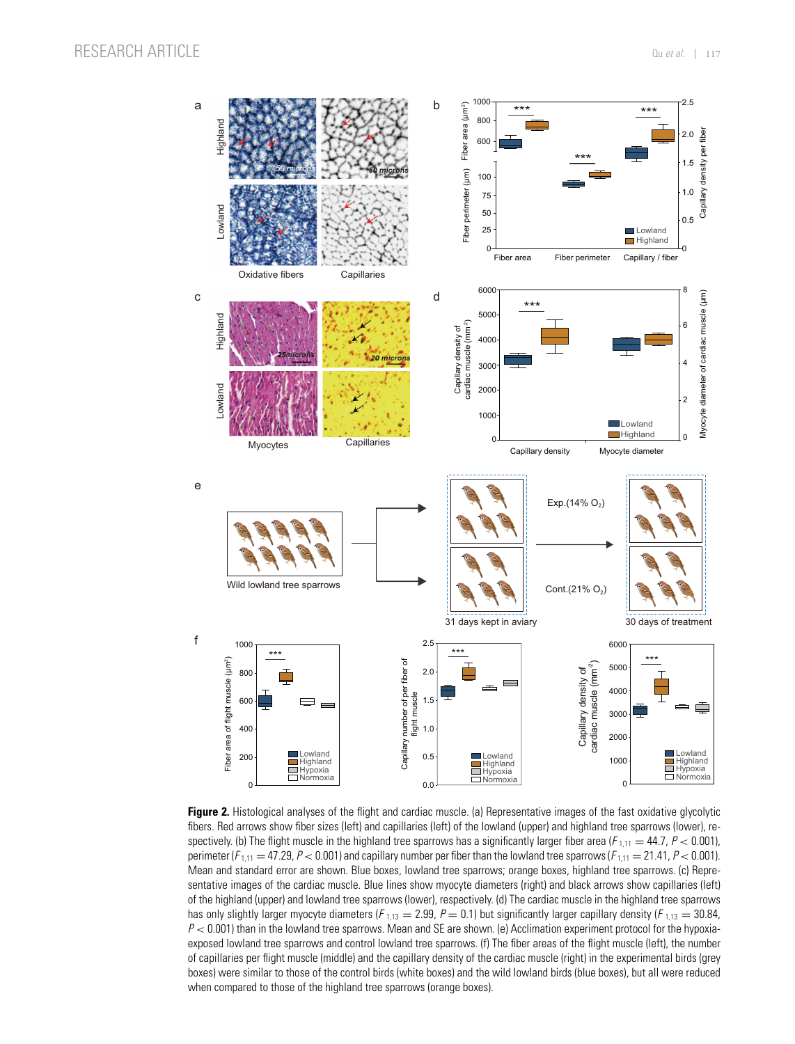<span id="page-4-0"></span>

**Figure 2.** Histological analyses of the flight and cardiac muscle. (a) Representative images of the fast oxidative glycolytic fibers. Red arrows show fiber sizes (left) and capillaries (left) of the lowland (upper) and highland tree sparrows (lower), respectively. (b) The flight muscle in the highland tree sparrows has a significantly larger fiber area  $(F_{1,11} = 44.7, P < 0.001)$ , perimeter ( $F_{1,11} = 47.29$ ,  $P < 0.001$ ) and capillary number per fiber than the lowland tree sparrows ( $F_{1,11} = 21.41$ ,  $P < 0.001$ ). Mean and standard error are shown. Blue boxes, lowland tree sparrows; orange boxes, highland tree sparrows. (c) Representative images of the cardiac muscle. Blue lines show myocyte diameters (right) and black arrows show capillaries (left) of the highland (upper) and lowland tree sparrows (lower), respectively. (d) The cardiac muscle in the highland tree sparrows has only slightly larger myocyte diameters ( $F_{1,13} = 2.99$ ,  $P = 0.1$ ) but significantly larger capillary density ( $F_{1,13} = 30.84$ ,  $P < 0.001$ ) than in the lowland tree sparrows. Mean and SE are shown. (e) Acclimation experiment protocol for the hypoxiaexposed lowland tree sparrows and control lowland tree sparrows. (f) The fiber areas of the flight muscle (left), the number of capillaries per flight muscle (middle) and the capillary density of the cardiac muscle (right) in the experimental birds (grey boxes) were similar to those of the control birds (white boxes) and the wild lowland birds (blue boxes), but all were reduced when compared to those of the highland tree sparrows (orange boxes).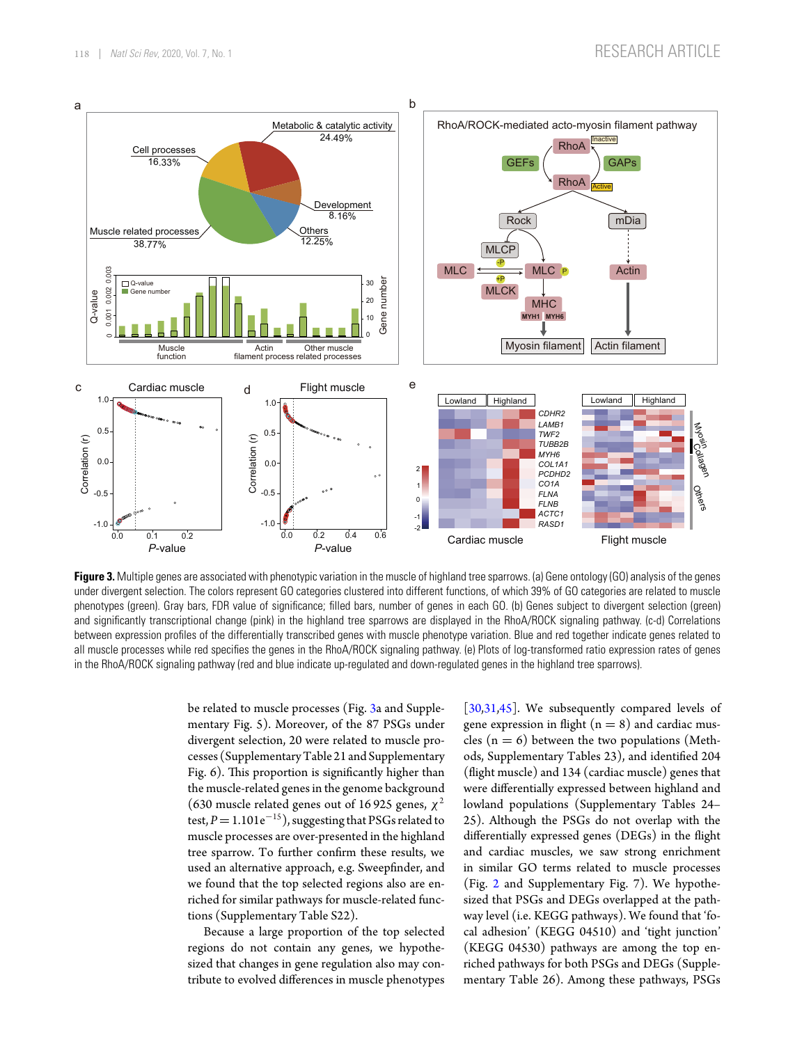<span id="page-5-0"></span>

**Figure 3.** Multiple genes are associated with phenotypic variation in the muscle of highland tree sparrows. (a) Gene ontology (GO) analysis of the genes under divergent selection. The colors represent GO categories clustered into different functions, of which 39% of GO categories are related to muscle phenotypes (green). Gray bars, FDR value of significance; filled bars, number of genes in each GO. (b) Genes subject to divergent selection (green) and significantly transcriptional change (pink) in the highland tree sparrows are displayed in the RhoA/ROCK signaling pathway. (c-d) Correlations between expression profiles of the differentially transcribed genes with muscle phenotype variation. Blue and red together indicate genes related to all muscle processes while red specifies the genes in the RhoA/ROCK signaling pathway. (e) Plots of log-transformed ratio expression rates of genes in the RhoA/ROCK signaling pathway (red and blue indicate up-regulated and down-regulated genes in the highland tree sparrows).

be related to muscle processes (Fig. [3a](#page-5-0) and Supplementary Fig. 5). Moreover, of the 87 PSGs under divergent selection, 20 were related to muscle processes (SupplementaryTable 21 and Supplementary Fig. 6). This proportion is significantly higher than the muscle-related genes in the genome background (630 muscle related genes out of 16 925 genes,  $\chi^2$ test,  $P=1.101e^{-15}$ ), suggesting that PSGs related to muscle processes are over-presented in the highland tree sparrow. To further confirm these results, we used an alternative approach, e.g. Sweepfinder, and we found that the top selected regions also are enriched for similar pathways for muscle-related functions (Supplementary Table S22).

Because a large proportion of the top selected regions do not contain any genes, we hypothesized that changes in gene regulation also may contribute to evolved differences in muscle phenotypes [\[30,](#page-13-16)[31](#page-13-17)[,45\]](#page-13-33). We subsequently compared levels of gene expression in flight  $(n = 8)$  and cardiac muscles  $(n = 6)$  between the two populations (Methods, Supplementary Tables 23), and identified 204 (flight muscle) and 134 (cardiac muscle) genes that were differentially expressed between highland and lowland populations (Supplementary Tables 24– 25). Although the PSGs do not overlap with the differentially expressed genes (DEGs) in the flight and cardiac muscles, we saw strong enrichment in similar GO terms related to muscle processes (Fig. [2](#page-4-0) and Supplementary Fig. 7). We hypothesized that PSGs and DEGs overlapped at the pathway level (i.e. KEGG pathways). We found that 'focal adhesion' (KEGG 04510) and 'tight junction' (KEGG 04530) pathways are among the top enriched pathways for both PSGs and DEGs (Supplementary Table 26). Among these pathways, PSGs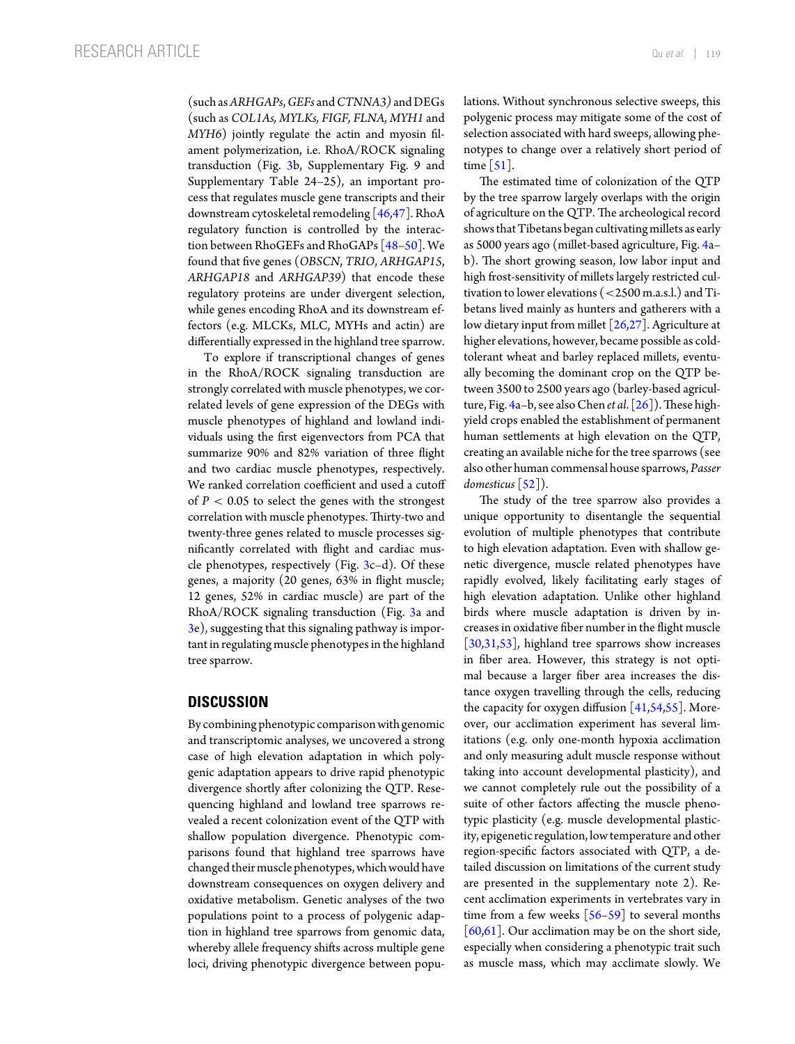(such as*ARHGAPs*,*GEFs* and*CTNNA3)* and DEGs (such as *COL1As, MYLKs, FIGF, FLNA, MYH1* and *MYH6*) jointly regulate the actin and myosin filament polymerization, i.e. RhoA/ROCK signaling transduction (Fig. [3b](#page-5-0), Supplementary Fig. 9 and Supplementary Table 24–25), an important process that regulates muscle gene transcripts and their downstream cytoskeletal remodeling [\[46](#page-13-34)[,47\]](#page-13-35). RhoA regulatory function is controlled by the interaction between RhoGEFs and RhoGAPs [\[48](#page-13-36)[–50\]](#page-14-1). We found that five genes (*OBSCN*, *TRIO*, *ARHGAP15*, *ARHGAP18* and *ARHGAP39*) that encode these regulatory proteins are under divergent selection, while genes encoding RhoA and its downstream effectors (e.g. MLCKs, MLC, MYHs and actin) are differentially expressed in the highland tree sparrow.

To explore if transcriptional changes of genes in the RhoA/ROCK signaling transduction are strongly correlated with muscle phenotypes, we correlated levels of gene expression of the DEGs with muscle phenotypes of highland and lowland individuals using the first eigenvectors from PCA that summarize 90% and 82% variation of three flight and two cardiac muscle phenotypes, respectively. We ranked correlation coefficient and used a cutoff of  $P < 0.05$  to select the genes with the strongest correlation with muscle phenotypes. Thirty-two and twenty-three genes related to muscle processes significantly correlated with flight and cardiac muscle phenotypes, respectively (Fig.  $3c-d$  $3c-d$ ). Of these genes, a majority (20 genes, 63% in flight muscle; 12 genes, 52% in cardiac muscle) are part of the RhoA/ROCK signaling transduction (Fig. [3a](#page-5-0) and [3e](#page-5-0)), suggesting that this signaling pathway is important in regulating muscle phenotypes in the highland tree sparrow.

## **DISCUSSION**

By combining phenotypic comparison with genomic and transcriptomic analyses, we uncovered a strong case of high elevation adaptation in which polygenic adaptation appears to drive rapid phenotypic divergence shortly after colonizing the QTP. Resequencing highland and lowland tree sparrows revealed a recent colonization event of the QTP with shallow population divergence. Phenotypic comparisons found that highland tree sparrows have changed their muscle phenotypes, which would have downstream consequences on oxygen delivery and oxidative metabolism. Genetic analyses of the two populations point to a process of polygenic adaption in highland tree sparrows from genomic data, whereby allele frequency shifts across multiple gene loci, driving phenotypic divergence between populations. Without synchronous selective sweeps, this polygenic process may mitigate some of the cost of selection associated with hard sweeps, allowing phenotypes to change over a relatively short period of time [\[51\]](#page-14-2).

The estimated time of colonization of the QTP by the tree sparrow largely overlaps with the origin of agriculture on the QTP. The archeological record showsthat Tibetans began cultivating millets as early as 5000 years ago (millet-based agriculture, Fig. [4a](#page-7-0)– b). The short growing season, low labor input and high frost-sensitivity of millets largely restricted cultivation to lower elevations (<2500 m.a.s.l.) and Tibetans lived mainly as hunters and gatherers with a low dietary input from millet [\[26](#page-13-12)[,27\]](#page-13-13). Agriculture at higher elevations, however, became possible as coldtolerant wheat and barley replaced millets, eventually becoming the dominant crop on the QTP between 3500 to 2500 years ago (barley-based agriculture, Fig. [4a](#page-7-0)–b, see also Chen *et al*. [\[26\]](#page-13-12)).These highyield crops enabled the establishment of permanent human settlements at high elevation on the QTP, creating an available niche for the tree sparrows (see also other human commensal house sparrows, *Passer domesticus*[\[52\]](#page-14-3)).

The study of the tree sparrow also provides a unique opportunity to disentangle the sequential evolution of multiple phenotypes that contribute to high elevation adaptation. Even with shallow genetic divergence, muscle related phenotypes have rapidly evolved, likely facilitating early stages of high elevation adaptation. Unlike other highland birds where muscle adaptation is driven by increases in oxidative fiber number in the flight muscle  $[30,31,53]$  $[30,31,53]$  $[30,31,53]$ , highland tree sparrows show increases in fiber area. However, this strategy is not optimal because a larger fiber area increases the distance oxygen travelling through the cells, reducing the capacity for oxygen diffusion [\[41](#page-13-29)[,54,](#page-14-5)[55\]](#page-14-6). Moreover, our acclimation experiment has several limitations (e.g. only one-month hypoxia acclimation and only measuring adult muscle response without taking into account developmental plasticity), and we cannot completely rule out the possibility of a suite of other factors affecting the muscle phenotypic plasticity (e.g. muscle developmental plasticity, epigenetic regulation, lowtemperature and other region-specific factors associated with QTP, a detailed discussion on limitations of the current study are presented in the supplementary note 2). Recent acclimation experiments in vertebrates vary in time from a few weeks  $[56-59]$  $[56-59]$  to several months [\[60,](#page-14-9)[61\]](#page-14-10). Our acclimation may be on the short side, especially when considering a phenotypic trait such as muscle mass, which may acclimate slowly. We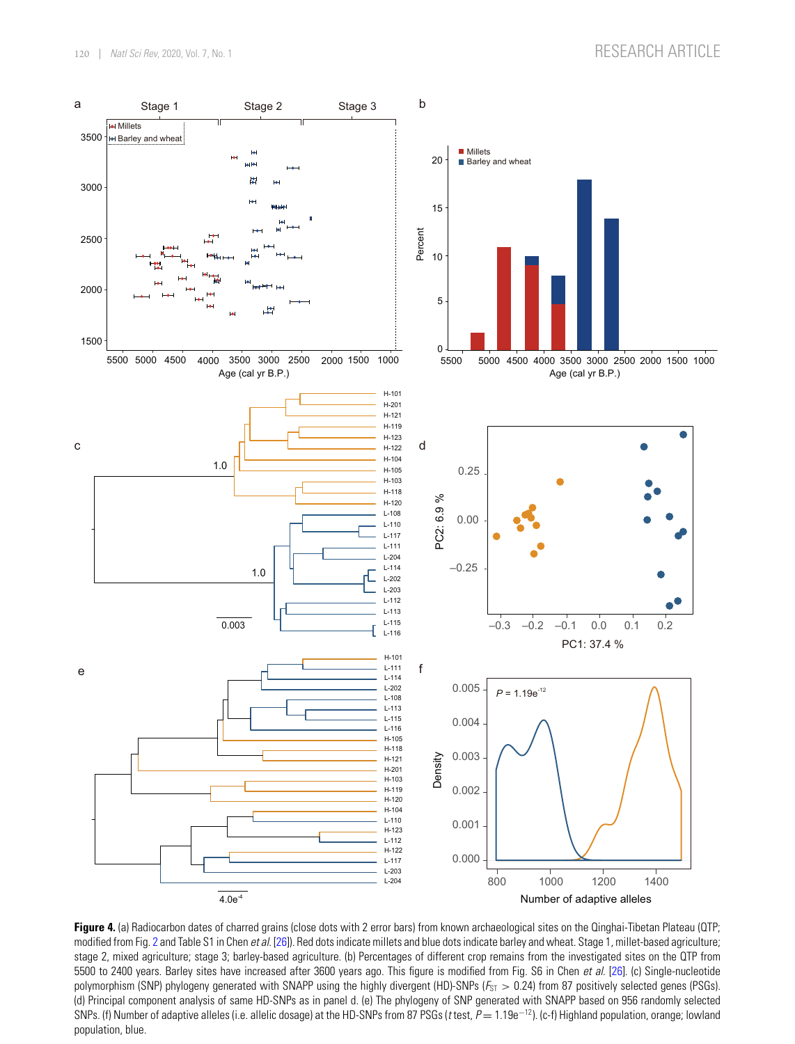<span id="page-7-0"></span>

**Figure 4.** (a) Radiocarbon dates of charred grains (close dots with 2 error bars) from known archaeological sites on the Qinghai-Tibetan Plateau (QTP; modified from Fig. [2](#page-4-0) and Table S1 in Chen *et al*. [\[26\]](#page-13-12)). Red dots indicate millets and blue dots indicate barley and wheat. Stage 1, millet-based agriculture; stage 2, mixed agriculture; stage 3; barley-based agriculture. (b) Percentages of different crop remains from the investigated sites on the QTP from 5500 to 2400 years. Barley sites have increased after 3600 years ago. This figure is modified from Fig. S6 in Chen *et al*. [\[26\]](#page-13-12). (c) Single-nucleotide polymorphism (SNP) phylogeny generated with SNAPP using the highly divergent (HD)-SNPs ( $F_{ST} > 0.24$ ) from 87 positively selected genes (PSGs). (d) Principal component analysis of same HD-SNPs as in panel d. (e) The phylogeny of SNP generated with SNAPP based on 956 randomly selected SNPs. (f) Number of adaptive alleles (i.e. allelic dosage) at the HD-SNPs from 87 PSGs (*<sup>t</sup>* test, *<sup>P</sup>* <sup>=</sup> 1.19e−12). (c-f) Highland population, orange; lowland population, blue.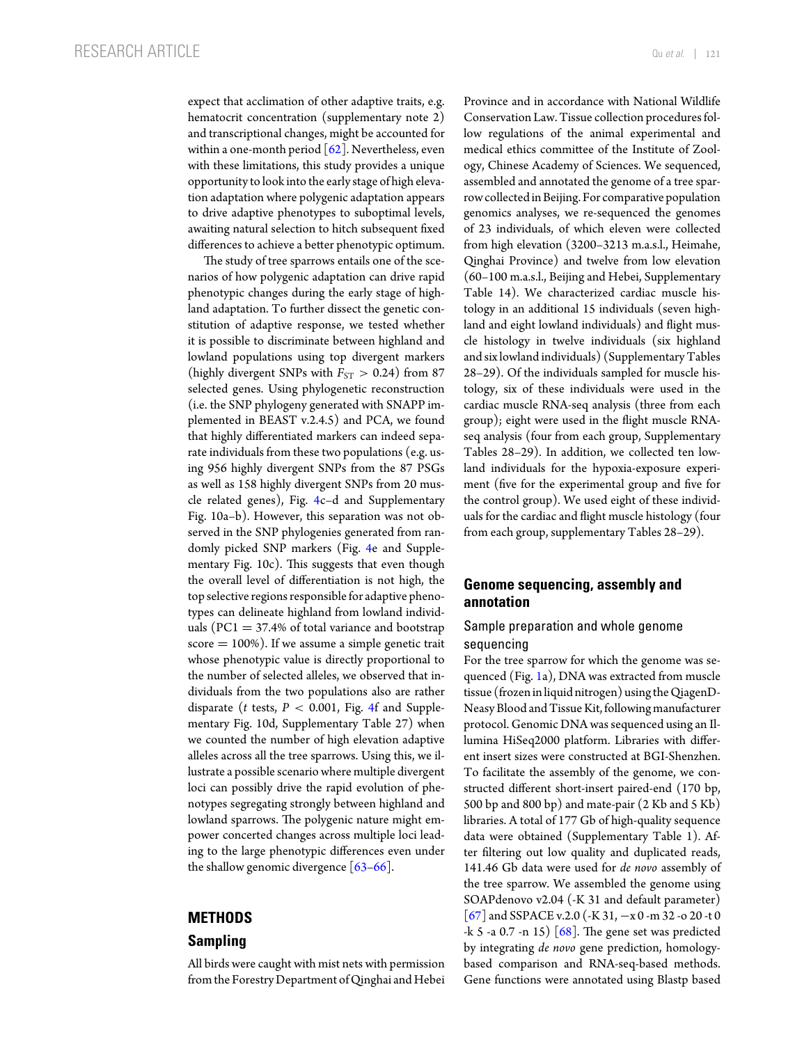expect that acclimation of other adaptive traits, e.g. hematocrit concentration (supplementary note 2) and transcriptional changes, might be accounted for within a one-month period  $\lceil 62 \rceil$ . Nevertheless, even with these limitations, this study provides a unique opportunity to look into the early stage of high elevation adaptation where polygenic adaptation appears to drive adaptive phenotypes to suboptimal levels, awaiting natural selection to hitch subsequent fixed differences to achieve a better phenotypic optimum.

The study of tree sparrows entails one of the scenarios of how polygenic adaptation can drive rapid phenotypic changes during the early stage of highland adaptation. To further dissect the genetic constitution of adaptive response, we tested whether it is possible to discriminate between highland and lowland populations using top divergent markers (highly divergent SNPs with  $F_{ST} > 0.24$ ) from 87 selected genes. Using phylogenetic reconstruction (i.e. the SNP phylogeny generated with SNAPP implemented in BEAST v.2.4.5) and PCA, we found that highly differentiated markers can indeed separate individuals from these two populations (e.g. using 956 highly divergent SNPs from the 87 PSGs as well as 158 highly divergent SNPs from 20 muscle related genes), Fig. [4c](#page-7-0)–d and Supplementary Fig. 10a–b). However, this separation was not observed in the SNP phylogenies generated from randomly picked SNP markers (Fig. [4e](#page-7-0) and Supplementary Fig. 10c). This suggests that even though the overall level of differentiation is not high, the top selective regions responsible for adaptive phenotypes can delineate highland from lowland individuals ( $PC1 = 37.4\%$  of total variance and bootstrap  $score = 100\%$ ). If we assume a simple genetic trait whose phenotypic value is directly proportional to the number of selected alleles, we observed that individuals from the two populations also are rather disparate (*t* tests, *P* < 0.001, Fig. [4f](#page-7-0) and Supplementary Fig. 10d, Supplementary Table 27) when we counted the number of high elevation adaptive alleles across all the tree sparrows. Using this, we illustrate a possible scenario where multiple divergent loci can possibly drive the rapid evolution of phenotypes segregating strongly between highland and lowland sparrows. The polygenic nature might empower concerted changes across multiple loci leading to the large phenotypic differences even under the shallow genomic divergence  $[63-66]$  $[63-66]$ .

### **METHODS**

# **Sampling**

All birds were caught with mist nets with permission fromthe Forestry Department of Qinghai and Hebei Province and in accordance with National Wildlife Conservation Law. Tissue collection procedures follow regulations of the animal experimental and medical ethics committee of the Institute of Zoology, Chinese Academy of Sciences. We sequenced, assembled and annotated the genome of a tree sparrow collected in Beijing. For comparative population genomics analyses, we re-sequenced the genomes of 23 individuals, of which eleven were collected from high elevation (3200–3213 m.a.s.l., Heimahe, Qinghai Province) and twelve from low elevation (60–100 m.a.s.l., Beijing and Hebei, Supplementary Table 14). We characterized cardiac muscle histology in an additional 15 individuals (seven highland and eight lowland individuals) and flight muscle histology in twelve individuals (six highland and six lowland individuals) (Supplementary Tables 28–29). Of the individuals sampled for muscle histology, six of these individuals were used in the cardiac muscle RNA-seq analysis (three from each group); eight were used in the flight muscle RNAseq analysis (four from each group, Supplementary Tables 28–29). In addition, we collected ten lowland individuals for the hypoxia-exposure experiment (five for the experimental group and five for the control group). We used eight of these individuals for the cardiac and flight muscle histology (four from each group, supplementary Tables 28–29).

# **Genome sequencing, assembly and annotation**

## Sample preparation and whole genome sequencing

For the tree sparrow for which the genome was sequenced (Fig. [1a](#page-2-0)), DNA was extracted from muscle tissue (frozen in liquid nitrogen) usingthe QiagenD-Neasy Blood and Tissue Kit, following manufacturer protocol. Genomic DNA was sequenced using an Illumina HiSeq2000 platform. Libraries with different insert sizes were constructed at BGI-Shenzhen. To facilitate the assembly of the genome, we constructed different short-insert paired-end (170 bp, 500 bp and 800 bp) and mate-pair (2 Kb and 5 Kb) libraries. A total of 177 Gb of high-quality sequence data were obtained (Supplementary Table 1). After filtering out low quality and duplicated reads, 141.46 Gb data were used for *de novo* assembly of the tree sparrow. We assembled the genome using SOAPdenovo v2.04 (-K 31 and default parameter) [\[67\]](#page-14-14) and SSPACE v.2.0 (-K 31, −x 0 -m 32 -o 20 -t 0  $-k$  5 -a 0.7 -n 15)  $[68]$ . The gene set was predicted by integrating *de novo* gene prediction, homologybased comparison and RNA-seq-based methods. Gene functions were annotated using Blastp based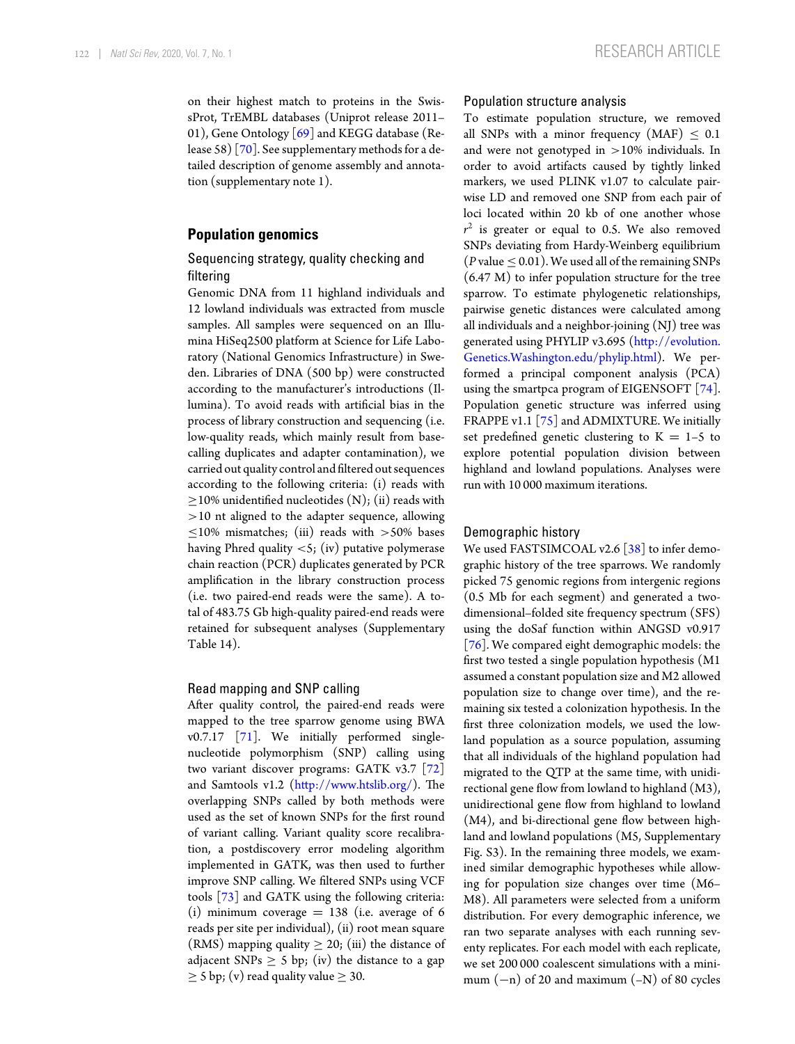on their highest match to proteins in the SwissProt, TrEMBL databases (Uniprot release 2011– 01), Gene Ontology [\[69\]](#page-14-16) and KEGG database (Release 58) [\[70\]](#page-14-17). See supplementary methods for a detailed description of genome assembly and annotation (supplementary note 1).

## **Population genomics**

## Sequencing strategy, quality checking and filtering

Genomic DNA from 11 highland individuals and 12 lowland individuals was extracted from muscle samples. All samples were sequenced on an Illumina HiSeq2500 platform at Science for Life Laboratory (National Genomics Infrastructure) in Sweden. Libraries of DNA (500 bp) were constructed according to the manufacturer's introductions (Illumina). To avoid reads with artificial bias in the process of library construction and sequencing (i.e. low-quality reads, which mainly result from basecalling duplicates and adapter contamination), we carried out quality control and filtered out sequences according to the following criteria: (i) reads with  $\geq$ 10% unidentified nucleotides (N); (ii) reads with >10 nt aligned to the adapter sequence, allowing  $\leq$ 10% mismatches; (iii) reads with >50% bases having Phred quality <5; (iv) putative polymerase chain reaction (PCR) duplicates generated by PCR amplification in the library construction process (i.e. two paired-end reads were the same). A total of 483.75 Gb high-quality paired-end reads were retained for subsequent analyses (Supplementary Table 14).

#### Read mapping and SNP calling

After quality control, the paired-end reads were mapped to the tree sparrow genome using BWA v0.7.17 [\[71\]](#page-14-18). We initially performed singlenucleotide polymorphism (SNP) calling using two variant discover programs: GATK v3.7 [\[72\]](#page-14-19) and Samtools v1.2 [\(http://www.htslib.org/\)](http://www.htslib.org/). The overlapping SNPs called by both methods were used as the set of known SNPs for the first round of variant calling. Variant quality score recalibration, a postdiscovery error modeling algorithm implemented in GATK, was then used to further improve SNP calling. We filtered SNPs using VCF tools [\[73\]](#page-14-20) and GATK using the following criteria: (i) minimum coverage  $= 138$  (i.e. average of 6 reads per site per individual), (ii) root mean square (RMS) mapping quality  $\geq$  20; (iii) the distance of adjacent SNPs  $\geq$  5 bp; (iv) the distance to a gap  $\geq$  5 bp; (v) read quality value  $\geq$  30.

#### Population structure analysis

To estimate population structure, we removed all SNPs with a minor frequency (MAF)  $\leq 0.1$ and were not genotyped in >10% individuals. In order to avoid artifacts caused by tightly linked markers, we used PLINK v1.07 to calculate pairwise LD and removed one SNP from each pair of loci located within 20 kb of one another whose  $r^2$  is greater or equal to 0.5. We also removed SNPs deviating from Hardy-Weinberg equilibrium ( $P$  value  $\leq$  0.01). We used all of the remaining SNPs (6.47 M) to infer population structure for the tree sparrow. To estimate phylogenetic relationships, pairwise genetic distances were calculated among all individuals and a neighbor-joining (NJ) tree was generated using PHYLIP v3.695 [\(http://evolution.](http://evolution.Genetics.Washington.edu/phylip.html) [Genetics.Washington.edu/phylip.html\)](http://evolution.Genetics.Washington.edu/phylip.html). We performed a principal component analysis (PCA) using the smartpca program of EIGENSOFT [\[74\]](#page-14-21). Population genetic structure was inferred using FRAPPE v1.1 [\[75\]](#page-14-0) and ADMIXTURE. We initially set predefined genetic clustering to  $K = 1-5$  to explore potential population division between highland and lowland populations. Analyses were run with 10 000 maximum iterations.

#### Demographic history

We used FASTSIMCOAL v2.6 [\[38\]](#page-13-26) to infer demographic history of the tree sparrows. We randomly picked 75 genomic regions from intergenic regions (0.5 Mb for each segment) and generated a twodimensional–folded site frequency spectrum (SFS) using the doSaf function within ANGSD v0.917 [\[76\]](#page-14-22). We compared eight demographic models: the first two tested a single population hypothesis (M1 assumed a constant population size and M2 allowed population size to change over time), and the remaining six tested a colonization hypothesis. In the first three colonization models, we used the lowland population as a source population, assuming that all individuals of the highland population had migrated to the QTP at the same time, with unidirectional gene flow from lowland to highland (M3), unidirectional gene flow from highland to lowland (M4), and bi-directional gene flow between highland and lowland populations (M5, Supplementary Fig. S3). In the remaining three models, we examined similar demographic hypotheses while allowing for population size changes over time (M6– M8). All parameters were selected from a uniform distribution. For every demographic inference, we ran two separate analyses with each running seventy replicates. For each model with each replicate, we set 200 000 coalescent simulations with a minimum  $(-n)$  of 20 and maximum  $(-N)$  of 80 cycles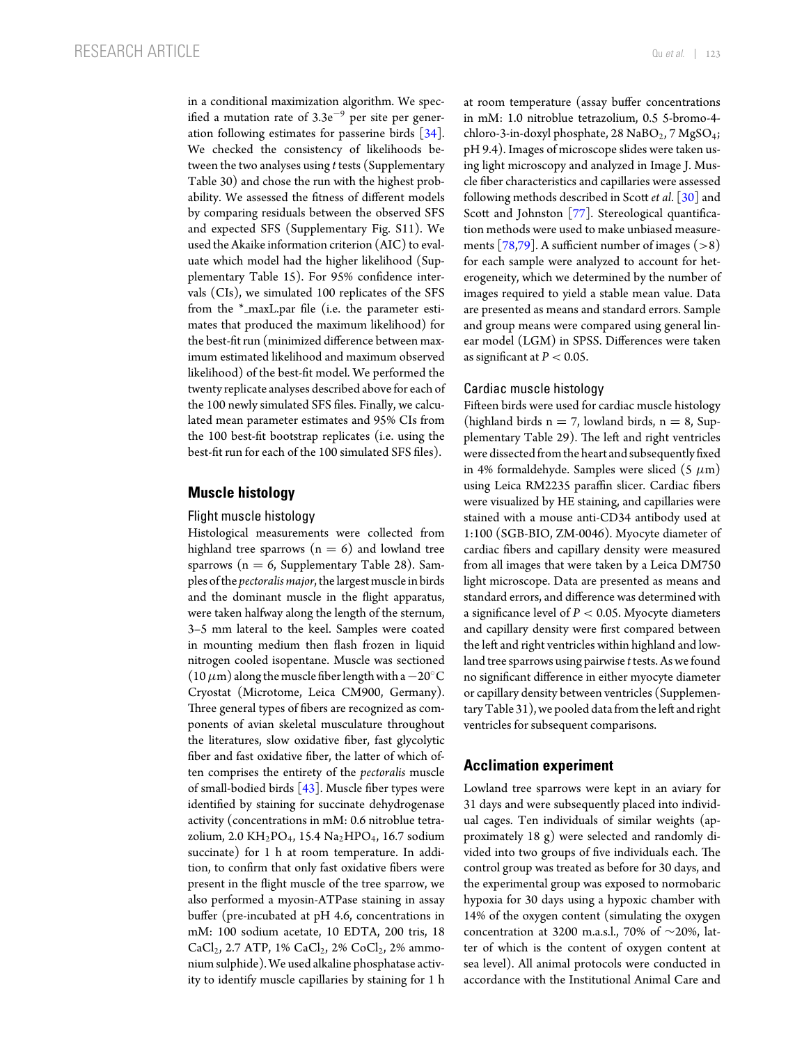in a conditional maximization algorithm. We specified a mutation rate of  $3.3e^{-9}$  per site per generation following estimates for passerine birds [\[34\]](#page-13-22). We checked the consistency of likelihoods between the two analyses using *t* tests (Supplementary Table 30) and chose the run with the highest probability. We assessed the fitness of different models by comparing residuals between the observed SFS and expected SFS (Supplementary Fig. S11). We used the Akaike information criterion (AIC) to evaluate which model had the higher likelihood (Supplementary Table 15). For 95% confidence intervals (CIs), we simulated 100 replicates of the SFS from the \*\_maxL.par file (i.e. the parameter estimates that produced the maximum likelihood) for the best-fit run (minimized difference between maximum estimated likelihood and maximum observed likelihood) of the best-fit model. We performed the twenty replicate analyses described above for each of the 100 newly simulated SFS files. Finally, we calculated mean parameter estimates and 95% CIs from the 100 best-fit bootstrap replicates (i.e. using the best-fit run for each of the 100 simulated SFS files).

### **Muscle histology**

#### Flight muscle histology

Histological measurements were collected from highland tree sparrows  $(n = 6)$  and lowland tree sparrows ( $n = 6$ , Supplementary Table 28). Samples ofthe *pectoralis major*,the largest muscle in birds and the dominant muscle in the flight apparatus, were taken halfway along the length of the sternum, 3–5 mm lateral to the keel. Samples were coated in mounting medium then flash frozen in liquid nitrogen cooled isopentane. Muscle was sectioned (10 $\mu$ m) along the muscle fiber length with a  $-20^{\circ}$ C Cryostat (Microtome, Leica CM900, Germany). Three general types of fibers are recognized as components of avian skeletal musculature throughout the literatures, slow oxidative fiber, fast glycolytic fiber and fast oxidative fiber, the latter of which often comprises the entirety of the *pectoralis* muscle of small-bodied birds  $[43]$ . Muscle fiber types were identified by staining for succinate dehydrogenase activity (concentrations in mM: 0.6 nitroblue tetrazolium, 2.0 KH<sub>2</sub>PO<sub>4</sub>, 15.4 Na<sub>2</sub>HPO<sub>4</sub>, 16.7 sodium succinate) for 1 h at room temperature. In addition, to confirm that only fast oxidative fibers were present in the flight muscle of the tree sparrow, we also performed a myosin-ATPase staining in assay buffer (pre-incubated at pH 4.6, concentrations in mM: 100 sodium acetate, 10 EDTA, 200 tris, 18  $CaCl<sub>2</sub>$ , 2.7 ATP, 1%  $CaCl<sub>2</sub>$ , 2%  $CoCl<sub>2</sub>$ , 2% ammonium sulphide). We used alkaline phosphatase activity to identify muscle capillaries by staining for 1 h at room temperature (assay buffer concentrations in mM: 1.0 nitroblue tetrazolium, 0.5 5-bromo-4 chloro-3-in-doxyl phosphate, 28  $NaBO<sub>2</sub>$ , 7  $MgSO<sub>4</sub>$ ; pH 9.4). Images of microscope slides were taken using light microscopy and analyzed in Image J. Muscle fiber characteristics and capillaries were assessed following methods described in Scott *et al*. [\[30\]](#page-13-16) and Scott and Johnston [\[77\]](#page-14-23). Stereological quantification methods were used to make unbiased measure-ments [\[78,](#page-14-24)[79\]](#page-14-25). A sufficient number of images  $(>8)$ for each sample were analyzed to account for heterogeneity, which we determined by the number of images required to yield a stable mean value. Data are presented as means and standard errors. Sample and group means were compared using general linear model (LGM) in SPSS. Differences were taken as significant at  $P < 0.05$ .

#### Cardiac muscle histology

Fifteen birds were used for cardiac muscle histology (highland birds  $n = 7$ , lowland birds,  $n = 8$ , Supplementary Table 29). The left and right ventricles were dissected from the heart and subsequently fixed in 4% formaldehyde. Samples were sliced  $(5 \mu m)$ using Leica RM2235 paraffin slicer. Cardiac fibers were visualized by HE staining, and capillaries were stained with a mouse anti-CD34 antibody used at 1:100 (SGB-BIO, ZM-0046). Myocyte diameter of cardiac fibers and capillary density were measured from all images that were taken by a Leica DM750 light microscope. Data are presented as means and standard errors, and difference was determined with a significance level of *P* < 0.05. Myocyte diameters and capillary density were first compared between the left and right ventricles within highland and lowland tree sparrows using pairwise *t* tests. As we found no significant difference in either myocyte diameter or capillary density between ventricles (Supplementary Table 31), we pooled data fromthe left and right ventricles for subsequent comparisons.

## **Acclimation experiment**

Lowland tree sparrows were kept in an aviary for 31 days and were subsequently placed into individual cages. Ten individuals of similar weights (approximately 18 g) were selected and randomly divided into two groups of five individuals each. The control group was treated as before for 30 days, and the experimental group was exposed to normobaric hypoxia for 30 days using a hypoxic chamber with 14% of the oxygen content (simulating the oxygen concentration at 3200 m.a.s.l., 70% of ∼20%, latter of which is the content of oxygen content at sea level). All animal protocols were conducted in accordance with the Institutional Animal Care and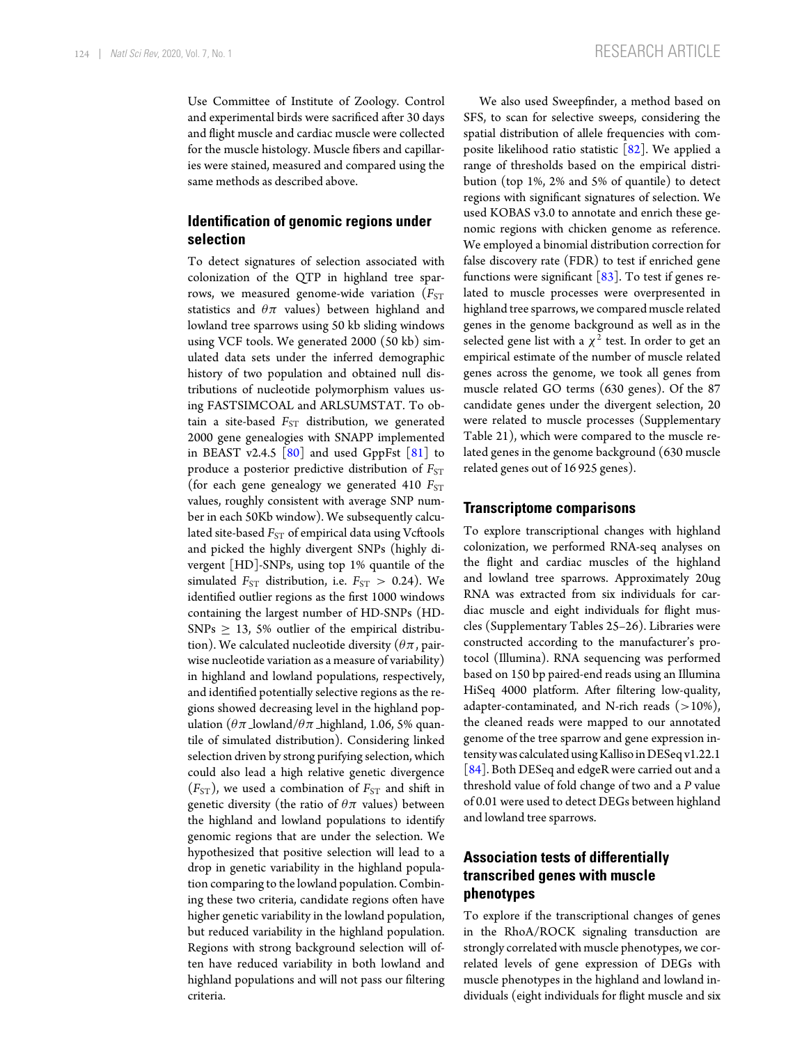Use Committee of Institute of Zoology. Control and experimental birds were sacrificed after 30 days and flight muscle and cardiac muscle were collected for the muscle histology. Muscle fibers and capillaries were stained, measured and compared using the same methods as described above.

# **Identification of genomic regions under selection**

To detect signatures of selection associated with colonization of the QTP in highland tree sparrows, we measured genome-wide variation ( $F_{ST}$ statistics and  $\theta \pi$  values) between highland and lowland tree sparrows using 50 kb sliding windows using VCF tools. We generated 2000 (50 kb) simulated data sets under the inferred demographic history of two population and obtained null distributions of nucleotide polymorphism values using FASTSIMCOAL and ARLSUMSTAT. To obtain a site-based F<sub>ST</sub> distribution, we generated 2000 gene genealogies with SNAPP implemented in BEAST v2.4.5  $[80]$  and used GppFst  $[81]$  to produce a posterior predictive distribution of *F<sub>ST</sub>* (for each gene genealogy we generated 410  $F_{ST}$ values, roughly consistent with average SNP number in each 50Kb window). We subsequently calculated site-based *F<sub>ST</sub>* of empirical data using Vcftools and picked the highly divergent SNPs (highly divergent [HD]-SNPs, using top 1% quantile of the simulated  $F_{ST}$  distribution, i.e.  $F_{ST} > 0.24$ ). We identified outlier regions as the first 1000 windows containing the largest number of HD-SNPs (HD- $SNPs \geq 13$ , 5% outlier of the empirical distribution). We calculated nucleotide diversity ( $\theta\pi$ , pairwise nucleotide variation as a measure of variability) in highland and lowland populations, respectively, and identified potentially selective regions as the regions showed decreasing level in the highland population ( $\theta \pi$  lowland/ $\theta \pi$  highland, 1.06, 5% quantile of simulated distribution). Considering linked selection driven by strong purifying selection, which could also lead a high relative genetic divergence  $(F_{ST})$ , we used a combination of  $F_{ST}$  and shift in genetic diversity (the ratio of  $\theta\pi$  values) between the highland and lowland populations to identify genomic regions that are under the selection. We hypothesized that positive selection will lead to a drop in genetic variability in the highland population comparing to the lowland population. Combining these two criteria, candidate regions often have higher genetic variability in the lowland population, but reduced variability in the highland population. Regions with strong background selection will often have reduced variability in both lowland and highland populations and will not pass our filtering criteria.

We also used Sweepfinder, a method based on SFS, to scan for selective sweeps, considering the spatial distribution of allele frequencies with composite likelihood ratio statistic  $\lceil 82 \rceil$ . We applied a range of thresholds based on the empirical distribution (top 1%, 2% and 5% of quantile) to detect regions with significant signatures of selection. We used KOBAS v3.0 to annotate and enrich these genomic regions with chicken genome as reference. We employed a binomial distribution correction for false discovery rate (FDR) to test if enriched gene functions were significant  $\lceil 83 \rceil$ . To test if genes related to muscle processes were overpresented in highland tree sparrows, we compared muscle related genes in the genome background as well as in the selected gene list with a  $\chi^2$  test. In order to get an empirical estimate of the number of muscle related genes across the genome, we took all genes from muscle related GO terms (630 genes). Of the 87 candidate genes under the divergent selection, 20 were related to muscle processes (Supplementary Table 21), which were compared to the muscle related genes in the genome background (630 muscle related genes out of 16 925 genes).

#### **Transcriptome comparisons**

To explore transcriptional changes with highland colonization, we performed RNA-seq analyses on the flight and cardiac muscles of the highland and lowland tree sparrows. Approximately 20ug RNA was extracted from six individuals for cardiac muscle and eight individuals for flight muscles (Supplementary Tables 25–26). Libraries were constructed according to the manufacturer's protocol (Illumina). RNA sequencing was performed based on 150 bp paired-end reads using an Illumina HiSeq 4000 platform. After filtering low-quality, adapter-contaminated, and N-rich reads  $(>10\%)$ , the cleaned reads were mapped to our annotated genome of the tree sparrow and gene expression intensity was calculated using Kalliso in DESeq v1.22.1 [\[84\]](#page-14-30). Both DESeq and edgeR were carried out and a threshold value of fold change of two and a *P* value of 0.01 were used to detect DEGs between highland and lowland tree sparrows.

# **Association tests of differentially transcribed genes with muscle phenotypes**

To explore if the transcriptional changes of genes in the RhoA/ROCK signaling transduction are strongly correlated with muscle phenotypes, we correlated levels of gene expression of DEGs with muscle phenotypes in the highland and lowland individuals (eight individuals for flight muscle and six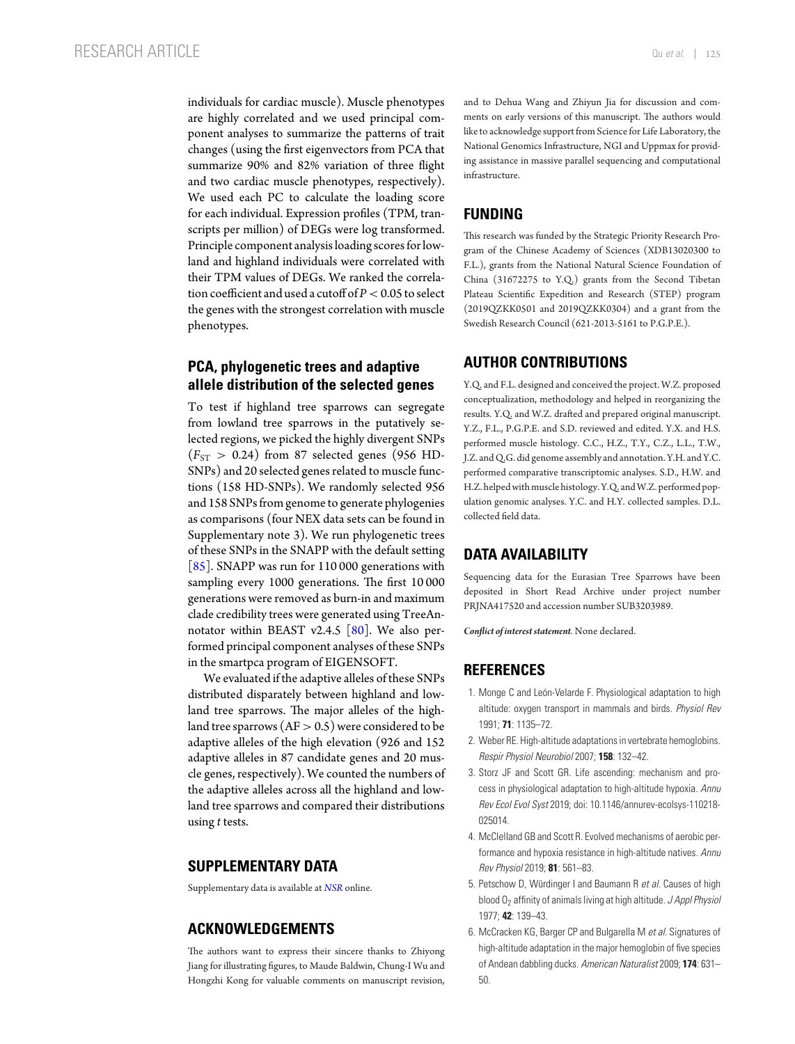individuals for cardiac muscle). Muscle phenotypes are highly correlated and we used principal component analyses to summarize the patterns of trait changes (using the first eigenvectors from PCA that summarize 90% and 82% variation of three flight and two cardiac muscle phenotypes, respectively). We used each PC to calculate the loading score for each individual. Expression profiles (TPM, transcripts per million) of DEGs were log transformed. Principle component analysis loading scores for lowland and highland individuals were correlated with their TPM values of DEGs. We ranked the correlation coefficient and used a cutoff of  $P < 0.05$  to select the genes with the strongest correlation with muscle phenotypes.

## **PCA, phylogenetic trees and adaptive allele distribution of the selected genes**

To test if highland tree sparrows can segregate from lowland tree sparrows in the putatively selected regions, we picked the highly divergent SNPs  $(F_{ST} > 0.24)$  from 87 selected genes (956 HD-SNPs) and 20 selected genes related to muscle functions (158 HD-SNPs). We randomly selected 956 and 158 SNPs from genome to generate phylogenies as comparisons (four NEX data sets can be found in Supplementary note 3). We run phylogenetic trees of these SNPs in the SNAPP with the default setting [\[85\]](#page-14-31). SNAPP was run for 110 000 generations with sampling every 1000 generations. The first 10 000 generations were removed as burn-in and maximum clade credibility trees were generated using TreeAnnotator within BEAST v2.4.5  $[80]$ . We also performed principal component analyses of these SNPs in the smartpca program of EIGENSOFT.

We evaluated if the adaptive alleles of these SNPs distributed disparately between highland and lowland tree sparrows. The major alleles of the highland tree sparrows ( $AF>0.5$ ) were considered to be adaptive alleles of the high elevation (926 and 152 adaptive alleles in 87 candidate genes and 20 muscle genes, respectively). We counted the numbers of the adaptive alleles across all the highland and lowland tree sparrows and compared their distributions using *t* tests.

#### **SUPPLEMENTARY DATA**

Supplementary data is available at *[NSR](https://academic.oup.com/nsr/article-lookup/doi/10.1093/nsr/nwz118#supplementary-data)* online.

## **ACKNOWLEDGEMENTS**

The authors want to express their sincere thanks to Zhiyong Jiang for illustrating figures, to Maude Baldwin, Chung-I Wu and Hongzhi Kong for valuable comments on manuscript revision, and to Dehua Wang and Zhiyun Jia for discussion and comments on early versions of this manuscript. The authors would like to acknowledge support from Science for Life Laboratory, the National Genomics Infrastructure, NGI and Uppmax for providing assistance in massive parallel sequencing and computational infrastructure.

# **FUNDING**

This research was funded by the Strategic Priority Research Program of the Chinese Academy of Sciences (XDB13020300 to F.L.), grants from the National Natural Science Foundation of China (31672275 to Y.Q.) grants from the Second Tibetan Plateau Scientific Expedition and Research (STEP) program (2019QZKK0501 and 2019QZKK0304) and a grant from the Swedish Research Council (621-2013-5161 to P.G.P.E.).

# **AUTHOR CONTRIBUTIONS**

Y.Q. and F.L. designed and conceived the project. W.Z. proposed conceptualization, methodology and helped in reorganizing the results. Y.Q. and W.Z. drafted and prepared original manuscript. Y.Z., F.L., P.G.P.E. and S.D. reviewed and edited. Y.X. and H.S. performed muscle histology. C.C., H.Z., T.Y., C.Z., L.L., T.W., J.Z. and Q.G. did genome assembly and annotation. Y.H. and Y.C. performed comparative transcriptomic analyses. S.D., H.W. and H.Z. helped with muscle histology. Y.Q. and W.Z. performed population genomic analyses. Y.C. and H.Y. collected samples. D.L. collected field data.

## **DATA AVAILABILITY**

Sequencing data for the Eurasian Tree Sparrows have been deposited in Short Read Archive under project number PRJNA417520 and accession number SUB3203989.

*Conflict of interest statement.* None declared.

#### **REFERENCES**

- <span id="page-12-0"></span>1. Monge C and León-Velarde F. Physiological adaptation to high altitude: oxygen transport in mammals and birds. *Physiol Rev* 1991; **71**: 1135–72.
- 2. Weber RE. High-altitude adaptations in vertebrate hemoglobins. *Respir Physiol Neurobiol* 2007; **158**: 132–42.
- <span id="page-12-1"></span>3. Storz JF and Scott GR. Life ascending: mechanism and process in physiological adaptation to high-altitude hypoxia. *Annu Rev Ecol Evol Syst* 2019; doi: 10.1146/annurev-ecolsys-110218- 025014.
- <span id="page-12-2"></span>4. McClelland GB and Scott R. Evolved mechanisms of aerobic performance and hypoxia resistance in high-altitude natives. *Annu Rev Physiol* 2019; **81**: 561–83.
- <span id="page-12-3"></span>5. Petschow D, Würdinger I and Baumann R et al. Causes of high blood O2 affinity of animals living at high altitude. *J Appl Physiol* 1977; **42**: 139–43.
- <span id="page-12-4"></span>6. McCracken KG, Barger CP and Bulgarella M *et al.* Signatures of high-altitude adaptation in the major hemoglobin of five species of Andean dabbling ducks. *American Naturalist* 2009; **174**: 631– 50.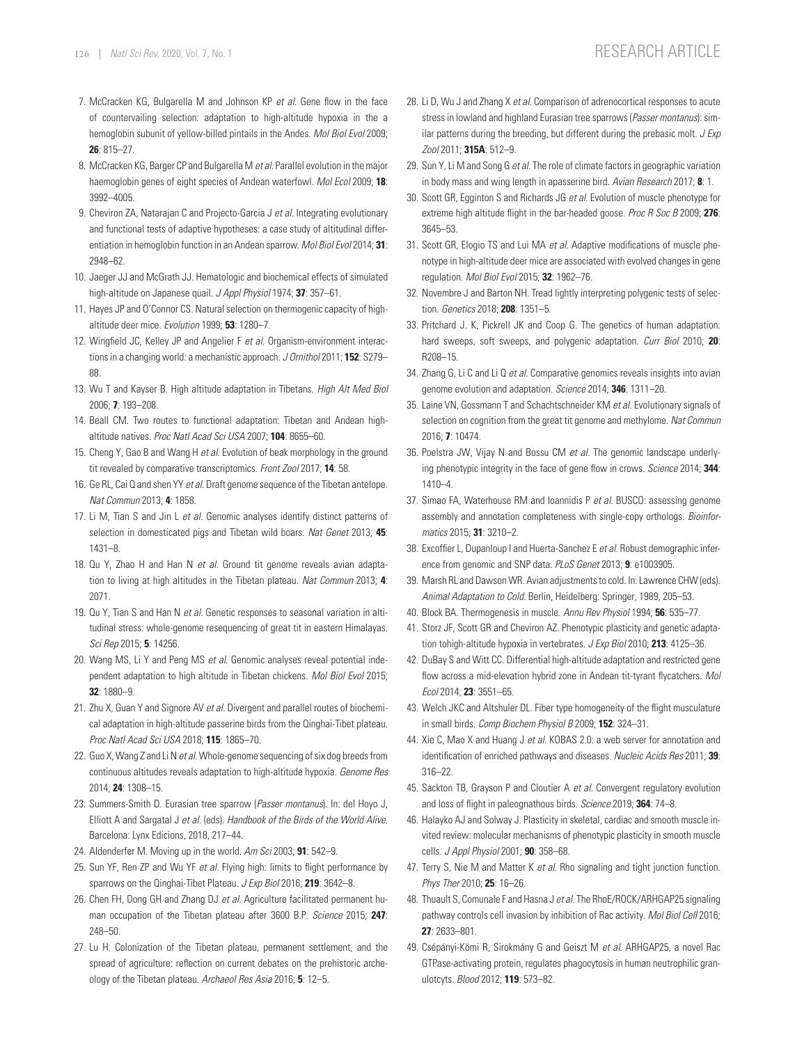- 7. McCracken KG, Bulgarella M and Johnson KP *et al.* Gene flow in the face of countervailing selection: adaptation to high-altitude hypoxia in the a hemoglobin subunit of yellow-billed pintails in the Andes. *Mol Biol Evol* 2009; **26**: 815–27.
- <span id="page-13-0"></span>8. McCracken KG, Barger CP and Bulgarella M *et al.* Parallel evolution in the major haemoglobin genes of eight species of Andean waterfowl. *Mol Ecol* 2009; **18**: 3992–4005.
- <span id="page-13-1"></span>9. Cheviron ZA, Natarajan C and Projecto-Garcia J *et al.* Integrating evolutionary and functional tests of adaptive hypotheses: a case study of altitudinal differentiation in hemoglobin function in an Andean sparrow. *Mol Biol Evol* 2014; **31**: 2948–62.
- <span id="page-13-2"></span>10. Jaeger JJ and McGrath JJ. Hematologic and biochemical effects of simulated high-altitude on Japanese quail. *J Appl Physiol* 1974; **37**: 357–61.
- <span id="page-13-3"></span>11. Hayes JP and O'Connor CS. Natural selection on thermogenic capacity of highaltitude deer mice. *Evolution* 1999; **53**: 1280–7.
- <span id="page-13-4"></span>12. Wingfield JC, Kelley JP and Angelier F *et al.* Organism-environment interactions in a changing world: a mechanistic approach. *J Ornithol* 2011; **152**: S279– 88.
- <span id="page-13-5"></span>13. Wu T and Kayser B. High altitude adaptation in Tibetans. *High Alt Med Biol* 2006; **7**: 193–208.
- 14. Beall CM. Two routes to functional adaptation: Tibetan and Andean highaltitude natives. *Proc Natl Acad Sci USA* 2007; **104**: 8655–60.
- <span id="page-13-6"></span>15. Cheng Y, Gao B and Wang H *et al.* Evolution of beak morphology in the ground tit revealed by comparative transcriptomics. *Front Zool* 2017; **14**: 58.
- <span id="page-13-7"></span>16. Ge RL, Cai Q and shen YY *et al.* Draft genome sequence of the Tibetan antelope. *Nat Commun* 2013; **4**: 1858.
- 17. Li M, Tian S and Jin L *et al.* Genomic analyses identify distinct patterns of selection in domesticated pigs and Tibetan wild boars. *Nat Genet* 2013; **45**: 1431–8.
- 18. Qu Y, Zhao H and Han N *et al.* Ground tit genome reveals avian adaptation to living at high altitudes in the Tibetan plateau. *Nat Commun* 2013; **4**: 2071.
- <span id="page-13-20"></span>19. Qu Y, Tian S and Han N *et al.* Genetic responses to seasonal variation in altitudinal stress: whole-genome resequencing of great tit in eastern Himalayas. *Sci Rep* 2015; **5**: 14256.
- <span id="page-13-21"></span>20. Wang MS, Li Y and Peng MS *et al.* Genomic analyses reveal potential independent adaptation to high altitude in Tibetan chickens. *Mol Biol Evol* 2015; **32**: 1880–9.
- 21. Zhu X, Guan Y and Signore AV *et al.* Divergent and parallel routes of biochemical adaptation in high-altitude passerine birds from the Qinghai-Tibet plateau. *Proc Natl Acad Sci USA* 2018; **115**: 1865–70.
- <span id="page-13-8"></span>22. Guo X, Wang Z and Li N *et al.* Whole-genome sequencing of six dog breeds from continuous altitudes reveals adaptation to high-altitude hypoxia. *Genome Res* 2014; **24**: 1308–15.
- <span id="page-13-9"></span>23. Summers-Smith D. Eurasian tree sparrow (*Passer montanus*). In: del Hoyo J, Elliott A and Sargatal J *et al.* (eds). *Handbook of the Birds of the World Alive*. Barcelona: Lynx Edicions, 2018, 217–44.
- <span id="page-13-10"></span>24. Aldenderfer M. Moving up in the world. *Am Sci* 2003; **91**: 542–9.
- <span id="page-13-11"></span>25. Sun YF, Ren ZP and Wu YF *et al.* Flying high: limits to flight performance by sparrows on the Qinghai-Tibet Plateau. *J Exp Biol* 2016; **219**: 3642–8.
- <span id="page-13-12"></span>26. Chen FH, Dong GH and Zhang DJ *et al.* Agriculture facilitated permanent human occupation of the Tibetan plateau after 3600 B.P. *Science* 2015; **247**: 248–50.
- <span id="page-13-13"></span>27. Lu H. Colonization of the Tibetan plateau, permanent settlement, and the spread of agriculture: reflection on current debates on the prehistoric archeology of the Tibetan plateau. *Archaeol Res Asia* 2016; **5**: 12–5.
- <span id="page-13-14"></span>28. Li D, Wu J and Zhang X *et al.* Comparison of adrenocortical responses to acute stress in lowland and highland Eurasian tree sparrows (*Passer montanus*): similar patterns during the breeding, but different during the prebasic molt. *J Exp Zool* 2011; **315A**: 512–9.
- <span id="page-13-15"></span>29. Sun Y, Li M and Song G *et al.* The role of climate factors in geographic variation in body mass and wing length in apasserine bird. *Avian Research* 2017; **8**: 1.
- <span id="page-13-16"></span>30. Scott GR, Egginton S and Richards JG *et al.* Evolution of muscle phenotype for extreme high altitude flight in the bar-headed goose. *Proc R Soc B* 2009; **276**: 3645–53.
- <span id="page-13-17"></span>31. Scott GR, Elogio TS and Lui MA *et al.* Adaptive modifications of muscle phenotype in high-altitude deer mice are associated with evolved changes in gene regulation. *Mol Biol Evol* 2015; **32**: 1962–76.
- <span id="page-13-18"></span>32. Novembre J and Barton NH. Tread lightly interpreting polygenic tests of selection. *Genetics* 2018; **208**: 1351–5.
- <span id="page-13-19"></span>33. Pritchard J. K, Pickrell JK and Coop G. The genetics of human adaptation: hard sweeps, soft sweeps, and polygenic adaptation. *Curr Biol* 2010; **20**: R208–15.
- <span id="page-13-22"></span>34. Zhang G, Li C and Li Q *et al.* Comparative genomics reveals insights into avian genome evolution and adaptation. *Science* 2014; **346**: 1311–20.
- <span id="page-13-23"></span>35. Laine VN, Gossmann T and Schachtschneider KM *et al.* Evolutionary signals of selection on cognition from the great tit genome and methylome. *Nat Commun* 2016; **7**: 10474.
- <span id="page-13-24"></span>36. Poelstra JW, Vijay N and Bossu CM *et al.* The genomic landscape underlying phenotypic integrity in the face of gene flow in crows. *Science* 2014; **344**: 1410–4.
- <span id="page-13-25"></span>37. Simao FA, Waterhouse RM and Ioannidis P *et al.* BUSCO: assessing genome assembly and annotation completeness with single-copy orthologs. *Bioinformatics* 2015; **31**: 3210–2.
- <span id="page-13-26"></span>38. Excoffier L, Dupanloup I and Huerta-Sanchez E *et al.* Robust demographic inference from genomic and SNP data. *PLoS Genet* 2013; **9**: e1003905.
- <span id="page-13-27"></span>39. Marsh RL and Dawson WR. Avian adjustments to cold. In: Lawrence CHW (eds). *Animal Adaptation to Cold*. Berlin, Heidelberg: Springer, 1989, 205–53.
- <span id="page-13-28"></span>40. Block BA. Thermogenesis in muscle. *Annu Rev Physiol* 1994; **56**: 535–77.
- <span id="page-13-29"></span>41. Storz JF, Scott GR and Cheviron AZ. Phenotypic plasticity and genetic adaptation tohigh-altitude hypoxia in vertebrates. *J Exp Biol* 2010; **213**: 4125–36.
- <span id="page-13-30"></span>42. DuBay S and Witt CC. Differential high-altitude adaptation and restricted gene flow across a mid-elevation hybrid zone in Andean tit-tyrant flycatchers. *Mol Ecol* 2014; **23**: 3551–65.
- <span id="page-13-31"></span>43. Welch JKC and Altshuler DL. Fiber type homogeneity of the flight musculature in small birds. *Comp Biochem Physiol B* 2009; **152**: 324–31.
- <span id="page-13-32"></span>44. Xie C, Mao X and Huang J *et al.* KOBAS 2.0: a web server for annotation and identification of enriched pathways and diseases. *Nucleic Acids Res* 2011; **39**: 316–22.
- <span id="page-13-33"></span>45. Sackton TB, Grayson P and Cloutier A *et al.* Convergent regulatory evolution and loss of flight in paleognathous birds. *Science* 2019; **364**: 74–8.
- <span id="page-13-34"></span>46. Halayko AJ and Solway J. Plasticity in skeletal, cardiac and smooth muscle invited review: molecular mechanisms of phenotypic plasticity in smooth muscle cells. *J Appl Physiol* 2001; **90**: 358–68.
- <span id="page-13-35"></span>47. Terry S, Nie M and Matter K *et al.* Rho signaling and tight junction function. *Phys Ther* 2010; **25**: 16–26.
- <span id="page-13-36"></span>48. Thuault S, Comunale F and Hasna J *et al.* The RhoE/ROCK/ARHGAP25 signaling pathway controls cell invasion by inhibition of Rac activity. *Mol Biol Cell* 2016; **27**: 2633–801.
- 49. Csépányi-Kömi R, Sirokmány G and Geiszt M et al. ARHGAP25, a novel Rac GTPase-activating protein, regulates phagocytosis in human neutrophilic granulotcyts. *Blood* 2012; **119**: 573–82.